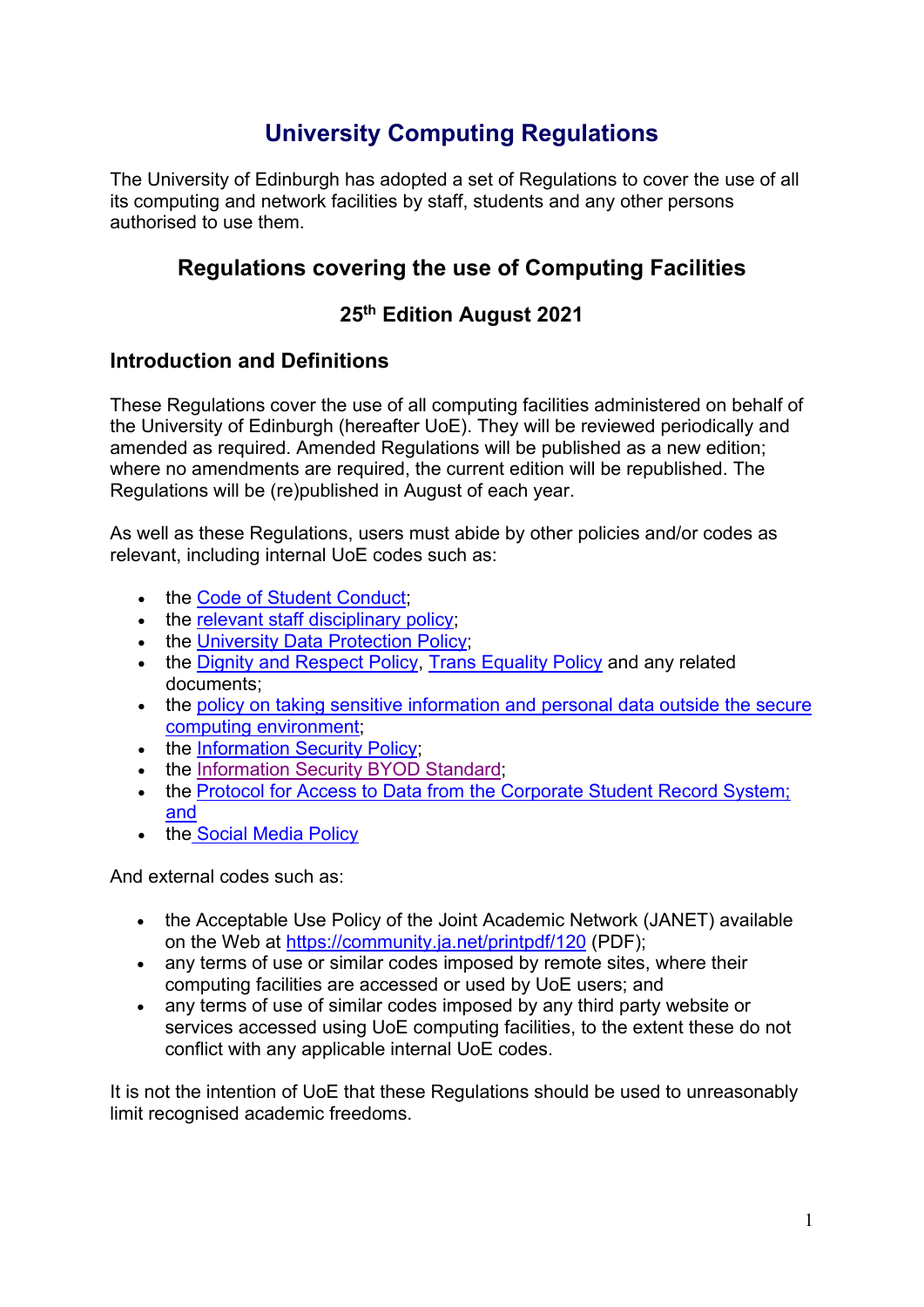# **University Computing Regulations**

The University of Edinburgh has adopted a set of Regulations to cover the use of all its computing and network facilities by staff, students and any other persons authorised to use them.

# **Regulations covering the use of Computing Facilities**

# **25th Edition August 2021**

# **Introduction and Definitions**

These Regulations cover the use of all computing facilities administered on behalf of the University of Edinburgh (hereafter UoE). They will be reviewed periodically and amended as required. Amended Regulations will be published as a new edition; where no amendments are required, the current edition will be republished. The Regulations will be (re)published in August of each year.

As well as these Regulations, users must abide by other policies and/or codes as relevant, including internal UoE codes such as:

- the [Code of Student Conduct;](http://www.ed.ac.uk/academic-services/staff/discipline/code-discipline)
- the [relevant staff disciplinary policy;](http://www.ed.ac.uk/human-resources/policies-guidance/a-to-z-policies)
- the [University Data Protection Policy;](https://www.ed.ac.uk/data-protection/data-protection-policy)
- the [Dignity and Respect](http://www.docs.csg.ed.ac.uk/HumanResources/Policies/Dignity_and_Respect-Policy.pdf) Policy, [Trans Equality Policy](http://www.docs.csg.ed.ac.uk/HumanResources/Policies/Trans_Equality_Policy.pdf) and any related documents;
- the policy on taking [sensitive information and personal data outside the secure](https://www.ed.ac.uk/infosec/information-protection-policies/information-security-required-reading/policy-on-taking-sensitive-information-and-persona)  [computing environment;](https://www.ed.ac.uk/infosec/information-protection-policies/information-security-required-reading/policy-on-taking-sensitive-information-and-persona)
- the [Information Security Policy;](https://www.ed.ac.uk/files/atoms/files/uoe_informationsecuritypolicy_v2.0_approved.pdf)
- the [Information Security BYOD Standard;](https://www.ed.ac.uk/infosec/information-protection-policies/information-security-required-reading)
- the [Protocol for Access to Data from the Corporate Student Record System;](http://www.ed.ac.uk/student-systems/use-of-data/policies-and-regulations) and
- the [Social Media Policy](https://www.ed.ac.uk/files/atoms/files/policy_employee_use_of_social_media_golden_copy.pdf)

And external codes such as:

- the Acceptable Use Policy of the Joint Academic Network (JANET) available on the Web at [https://community.ja.net/printpdf/120](http://www.ja.net/documents/publications/policy/aup.pdf) (PDF);
- any terms of use or similar codes imposed by remote sites, where their computing facilities are accessed or used by UoE users; and
- any terms of use of similar codes imposed by any third party website or services accessed using UoE computing facilities, to the extent these do not conflict with any applicable internal UoE codes.

It is not the intention of UoE that these Regulations should be used to unreasonably limit recognised academic freedoms.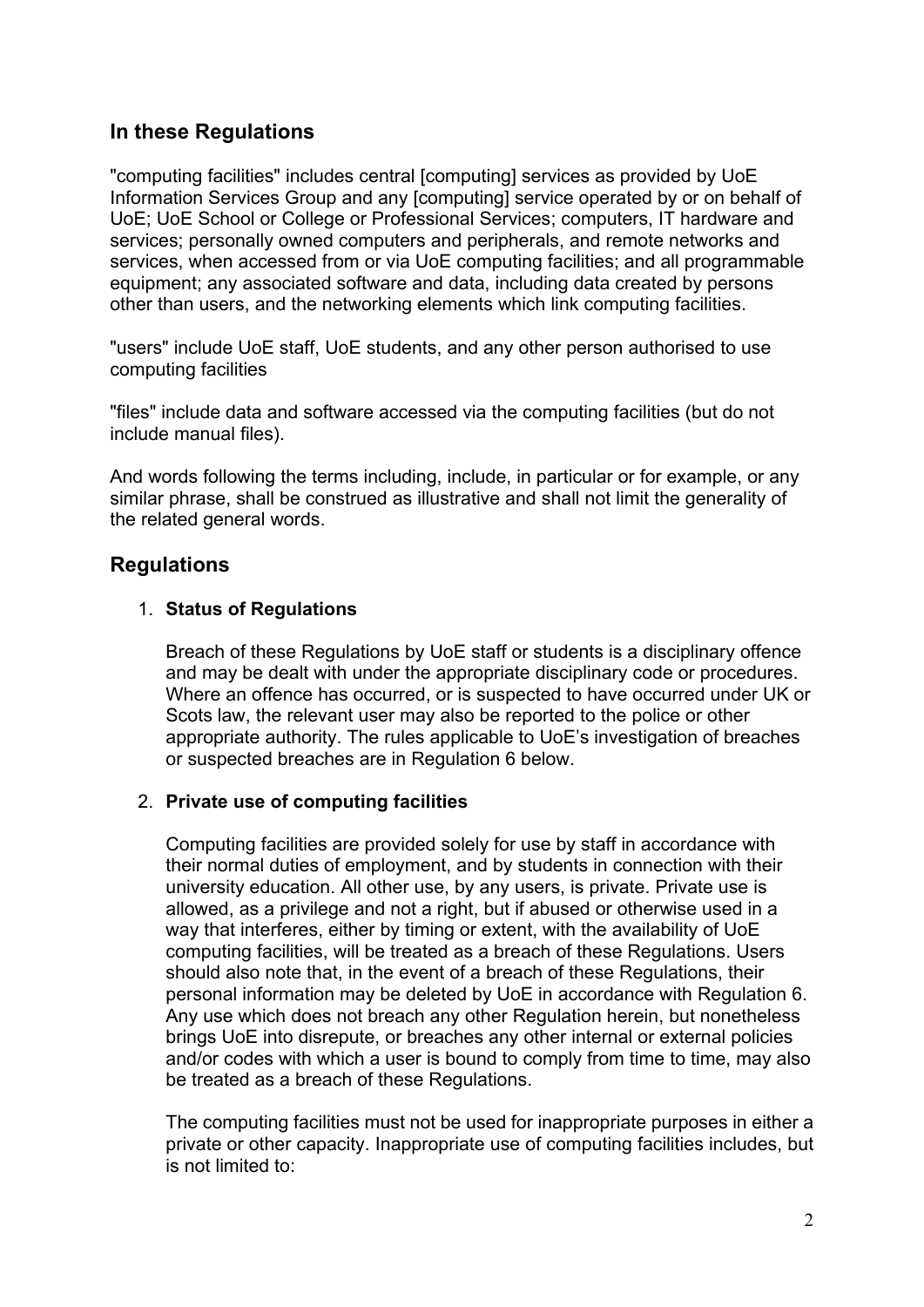# **In these Regulations**

"computing facilities" includes central [computing] services as provided by UoE Information Services Group and any [computing] service operated by or on behalf of UoE; UoE School or College or Professional Services; computers, IT hardware and services; personally owned computers and peripherals, and remote networks and services, when accessed from or via UoE computing facilities; and all programmable equipment; any associated software and data, including data created by persons other than users, and the networking elements which link computing facilities.

"users" include UoE staff, UoE students, and any other person authorised to use computing facilities

"files" include data and software accessed via the computing facilities (but do not include manual files).

And words following the terms including, include, in particular or for example, or any similar phrase, shall be construed as illustrative and shall not limit the generality of the related general words.

# **Regulations**

#### 1. **Status of Regulations**

Breach of these Regulations by UoE staff or students is a disciplinary offence and may be dealt with under the appropriate disciplinary code or procedures. Where an offence has occurred, or is suspected to have occurred under UK or Scots law, the relevant user may also be reported to the police or other appropriate authority. The rules applicable to UoE's investigation of breaches or suspected breaches are in Regulation 6 below.

#### 2. **Private use of computing facilities**

Computing facilities are provided solely for use by staff in accordance with their normal duties of employment, and by students in connection with their university education. All other use, by any users, is private. Private use is allowed, as a privilege and not a right, but if abused or otherwise used in a way that interferes, either by timing or extent, with the availability of UoE computing facilities, will be treated as a breach of these Regulations. Users should also note that, in the event of a breach of these Regulations, their personal information may be deleted by UoE in accordance with Regulation 6. Any use which does not breach any other Regulation herein, but nonetheless brings UoE into disrepute, or breaches any other internal or external policies and/or codes with which a user is bound to comply from time to time, may also be treated as a breach of these Regulations.

The computing facilities must not be used for inappropriate purposes in either a private or other capacity. Inappropriate use of computing facilities includes, but is not limited to: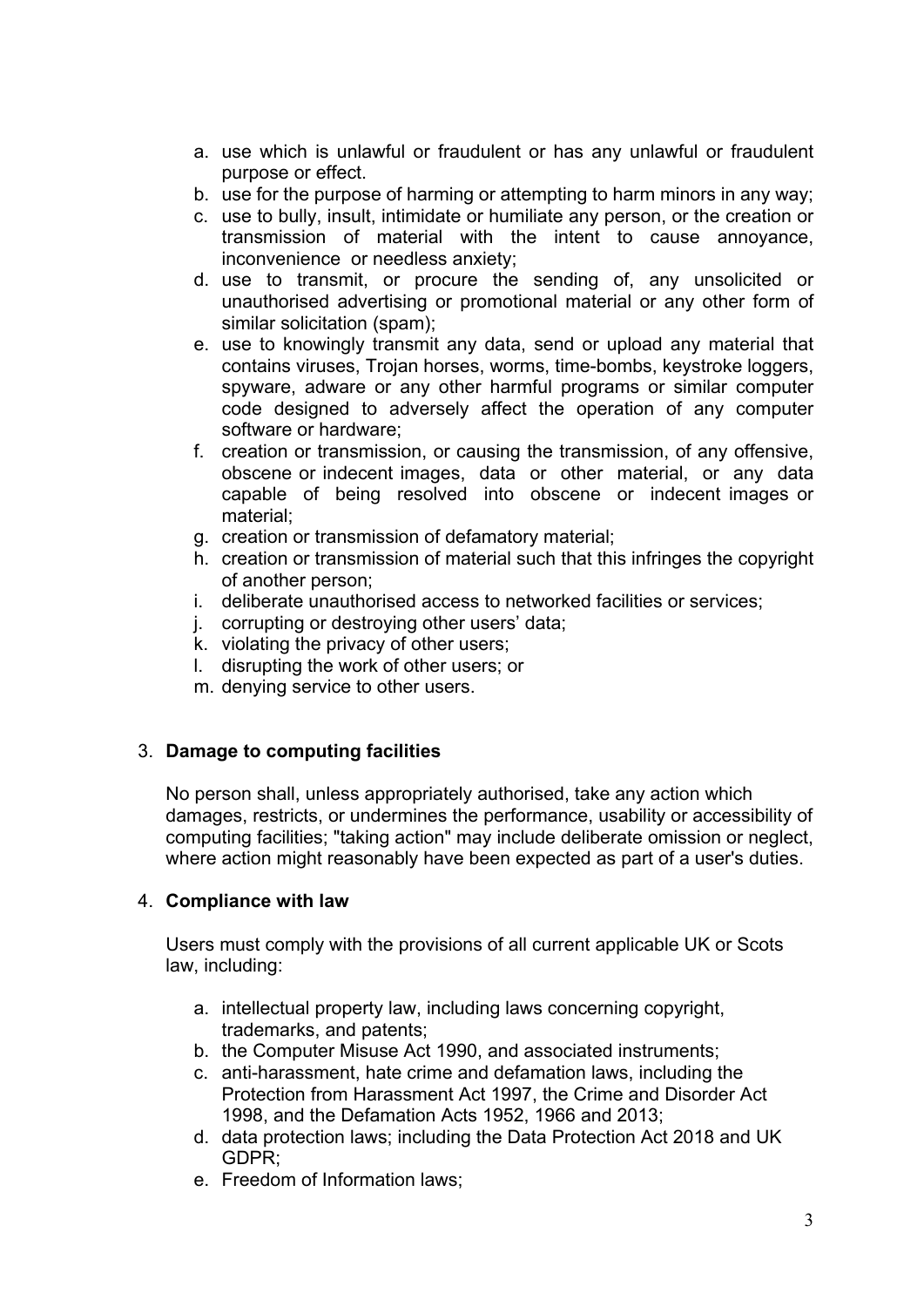- a. use which is unlawful or fraudulent or has any unlawful or fraudulent purpose or effect.
- b. use for the purpose of harming or attempting to harm minors in any way;
- c. use to bully, insult, intimidate or humiliate any person, or the creation or transmission of material with the intent to cause annoyance, inconvenience or needless anxiety;
- d. use to transmit, or procure the sending of, any unsolicited or unauthorised advertising or promotional material or any other form of similar solicitation (spam);
- e. use to knowingly transmit any data, send or upload any material that contains viruses, Trojan horses, worms, time-bombs, keystroke loggers, spyware, adware or any other harmful programs or similar computer code designed to adversely affect the operation of any computer software or hardware;
- f. creation or transmission, or causing the transmission, of any offensive, obscene or indecent images, data or other material, or any data capable of being resolved into obscene or indecent images or material;
- g. creation or transmission of defamatory material;
- h. creation or transmission of material such that this infringes the copyright of another person;
- i. deliberate unauthorised access to networked facilities or services;
- j. corrupting or destroying other users' data;
- k. violating the privacy of other users;
- l. disrupting the work of other users; or
- m. denying service to other users.

### 3. **Damage to computing facilities**

No person shall, unless appropriately authorised, take any action which damages, restricts, or undermines the performance, usability or accessibility of computing facilities; "taking action" may include deliberate omission or neglect, where action might reasonably have been expected as part of a user's duties.

#### 4. **Compliance with law**

Users must comply with the provisions of all current applicable UK or Scots law, including:

- a. intellectual property law, including laws concerning copyright, trademarks, and patents;
- b. the Computer Misuse Act 1990, and associated instruments;
- c. anti-harassment, hate crime and defamation laws, including the Protection from Harassment Act 1997, the Crime and Disorder Act 1998, and the Defamation Acts 1952, 1966 and 2013;
- d. data protection laws; including the Data Protection Act 2018 and UK GDPR;
- e. Freedom of Information laws;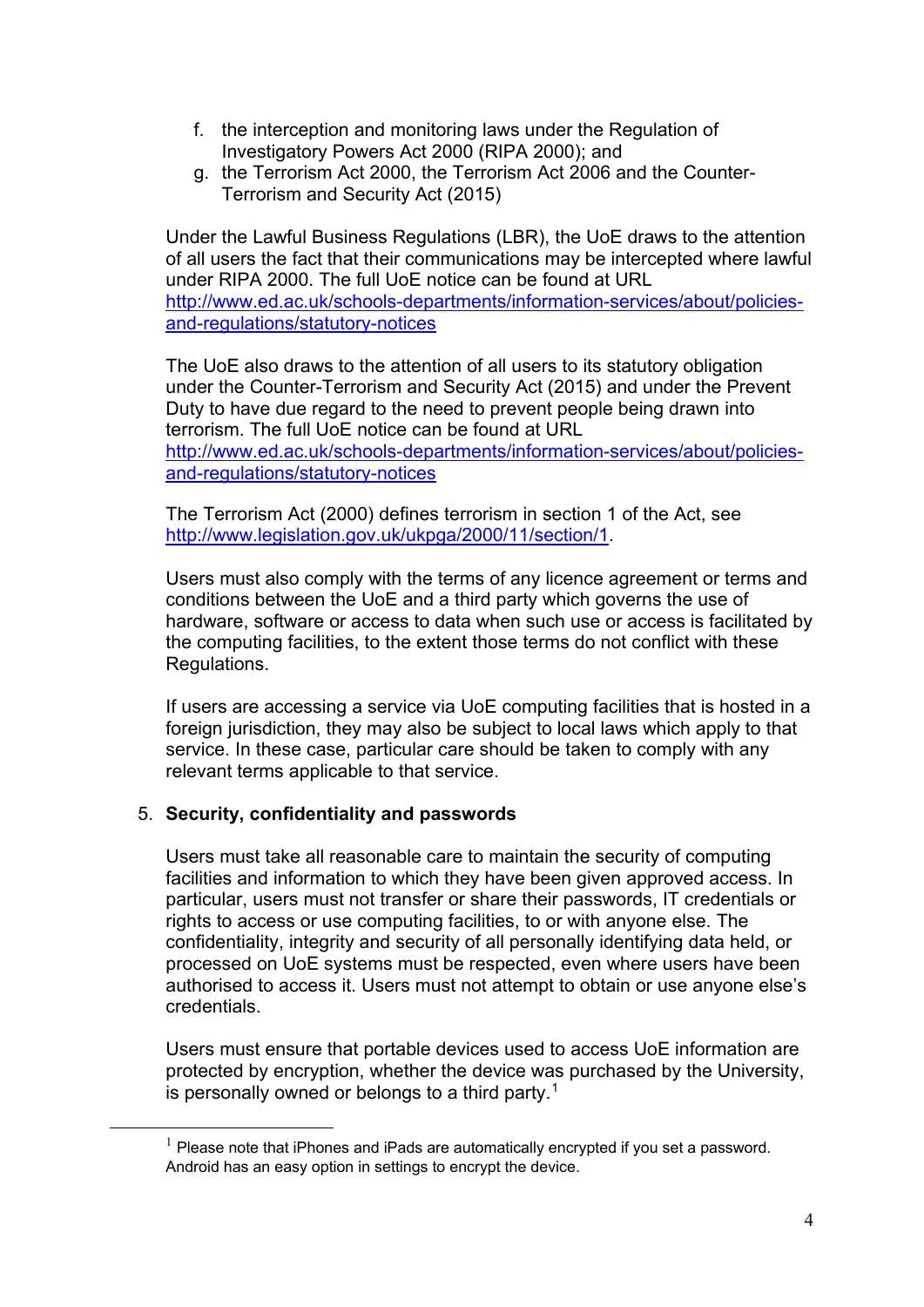- f. the interception and monitoring laws under the Regulation of Investigatory Powers Act 2000 (RIPA 2000); and
- g. the Terrorism Act 2000, the Terrorism Act 2006 and the Counter-Terrorism and Security Act (2015)

Under the Lawful Business Regulations (LBR), the UoE draws to the attention of all users the fact that their communications may be intercepted where lawful under RIPA 2000. The full UoE notice can be found at URL [http://www.ed.ac.uk/schools-departments/information-services/about/policies](http://www.ed.ac.uk/schools-departments/information-services/about/policies-and-regulations/statutory-notices)[and-regulations/statutory-notices](http://www.ed.ac.uk/schools-departments/information-services/about/policies-and-regulations/statutory-notices)

The UoE also draws to the attention of all users to its statutory obligation under the Counter-Terrorism and Security Act (2015) and under the Prevent Duty to have due regard to the need to prevent people being drawn into terrorism. The full UoE notice can be found at URL [http://www.ed.ac.uk/schools-departments/information-services/about/policies](http://www.ed.ac.uk/schools-departments/information-services/about/policies-and-regulations/statutory-notices)[and-regulations/statutory-notices](http://www.ed.ac.uk/schools-departments/information-services/about/policies-and-regulations/statutory-notices)

The Terrorism Act (2000) defines terrorism in section 1 of the Act, see [http://www.legislation.gov.uk/ukpga/2000/11/section/1.](http://www.legislation.gov.uk/ukpga/2000/11/section/1)

Users must also comply with the terms of any licence agreement or terms and conditions between the UoE and a third party which governs the use of hardware, software or access to data when such use or access is facilitated by the computing facilities, to the extent those terms do not conflict with these Regulations.

If users are accessing a service via UoE computing facilities that is hosted in a foreign jurisdiction, they may also be subject to local laws which apply to that service. In these case, particular care should be taken to comply with any relevant terms applicable to that service.

### 5. **Security, confidentiality and passwords**

Users must take all reasonable care to maintain the security of computing facilities and information to which they have been given approved access. In particular, users must not transfer or share their passwords, IT credentials or rights to access or use computing facilities, to or with anyone else. The confidentiality, integrity and security of all personally identifying data held, or processed on UoE systems must be respected, even where users have been authorised to access it. Users must not attempt to obtain or use anyone else's credentials.

Users must ensure that portable devices used to access UoE information are protected by encryption, whether the device was purchased by the University, is personally owned or belongs to a third party.[1](#page-3-0)

<span id="page-3-0"></span> $1$  Please note that iPhones and iPads are automatically encrypted if you set a password. Android has an easy option in settings to encrypt the device.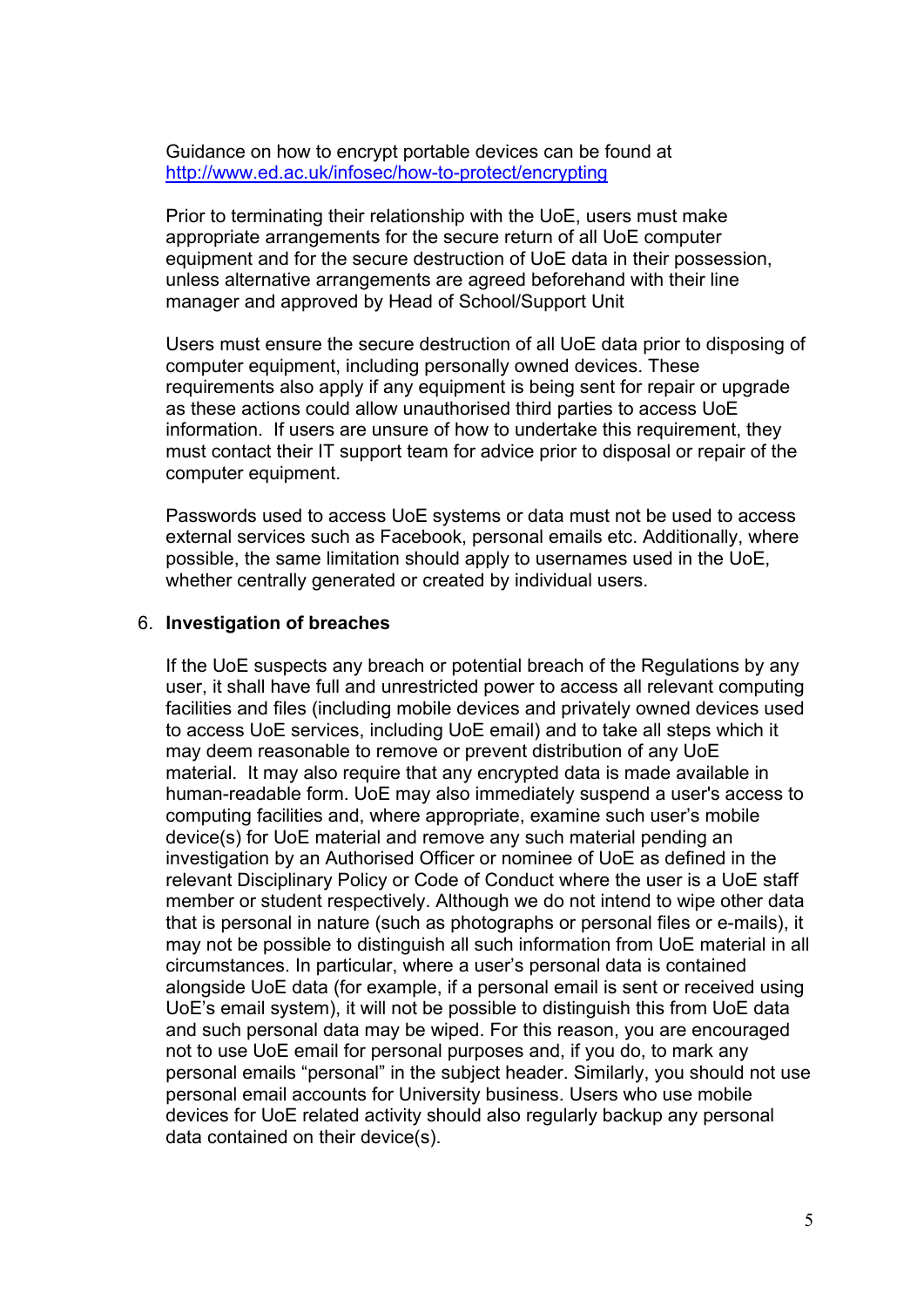Guidance on how to encrypt portable devices can be found at <http://www.ed.ac.uk/infosec/how-to-protect/encrypting>

Prior to terminating their relationship with the UoE, users must make appropriate arrangements for the secure return of all UoE computer equipment and for the secure destruction of UoE data in their possession, unless alternative arrangements are agreed beforehand with their line manager and approved by Head of School/Support Unit

Users must ensure the secure destruction of all UoE data prior to disposing of computer equipment, including personally owned devices. These requirements also apply if any equipment is being sent for repair or upgrade as these actions could allow unauthorised third parties to access UoE information. If users are unsure of how to undertake this requirement, they must contact their IT support team for advice prior to disposal or repair of the computer equipment.

Passwords used to access UoE systems or data must not be used to access external services such as Facebook, personal emails etc. Additionally, where possible, the same limitation should apply to usernames used in the UoE, whether centrally generated or created by individual users.

#### 6. **Investigation of breaches**

If the UoE suspects any breach or potential breach of the Regulations by any user, it shall have full and unrestricted power to access all relevant computing facilities and files (including mobile devices and privately owned devices used to access UoE services, including UoE email) and to take all steps which it may deem reasonable to remove or prevent distribution of any UoE material. It may also require that any encrypted data is made available in human-readable form. UoE may also immediately suspend a user's access to computing facilities and, where appropriate, examine such user's mobile device(s) for UoE material and remove any such material pending an investigation by an Authorised Officer or nominee of UoE as defined in the relevant Disciplinary Policy or Code of Conduct where the user is a UoE staff member or student respectively. Although we do not intend to wipe other data that is personal in nature (such as photographs or personal files or e-mails), it may not be possible to distinguish all such information from UoE material in all circumstances. In particular, where a user's personal data is contained alongside UoE data (for example, if a personal email is sent or received using UoE's email system), it will not be possible to distinguish this from UoE data and such personal data may be wiped. For this reason, you are encouraged not to use UoE email for personal purposes and, if you do, to mark any personal emails "personal" in the subject header. Similarly, you should not use personal email accounts for University business. Users who use mobile devices for UoE related activity should also regularly backup any personal data contained on their device(s).